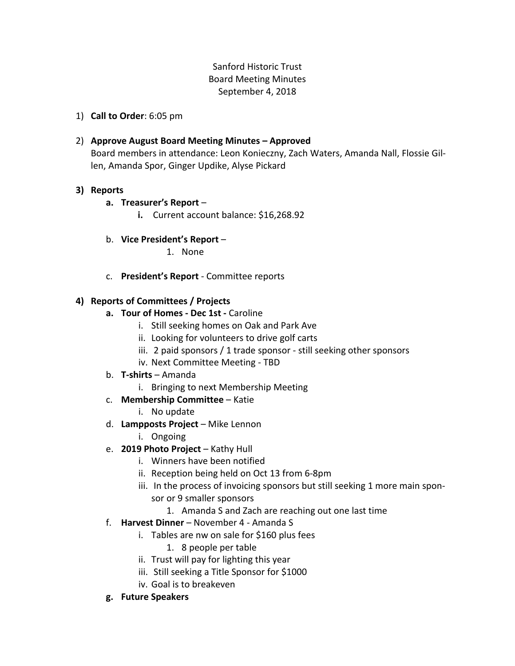# Sanford Historic Trust Board Meeting Minutes September 4, 2018

- 1) **Call to Order**: 6:05 pm
- 2) **Approve August Board Meeting Minutes – Approved** Board members in attendance: Leon Konieczny, Zach Waters, Amanda Nall, Flossie Gillen, Amanda Spor, Ginger Updike, Alyse Pickard

## **3) Reports**

- **a. Treasurer's Report**
	- **i.** Current account balance: \$16,268.92
- b. **Vice President's Report**
	- 1. None
- c. **President's Report** Committee reports

## **4) Reports of Committees / Projects**

- **a. Tour of Homes - Dec 1st -** Caroline
	- i. Still seeking homes on Oak and Park Ave
	- ii. Looking for volunteers to drive golf carts
	- iii. 2 paid sponsors / 1 trade sponsor still seeking other sponsors
	- iv. Next Committee Meeting TBD
- b. **T-shirts** Amanda
	- i. Bringing to next Membership Meeting
- c. **Membership Committee** Katie
	- i. No update
- d. **Lampposts Project** Mike Lennon
	- i. Ongoing
- e. **2019 Photo Project** Kathy Hull
	- i. Winners have been notified
	- ii. Reception being held on Oct 13 from 6-8pm
	- iii. In the process of invoicing sponsors but still seeking 1 more main sponsor or 9 smaller sponsors
		- 1. Amanda S and Zach are reaching out one last time
- f. **Harvest Dinner** November 4 Amanda S
	- i. Tables are nw on sale for \$160 plus fees
		- 1. 8 people per table
	- ii. Trust will pay for lighting this year
	- iii. Still seeking a Title Sponsor for \$1000
	- iv. Goal is to breakeven
- **g. Future Speakers**